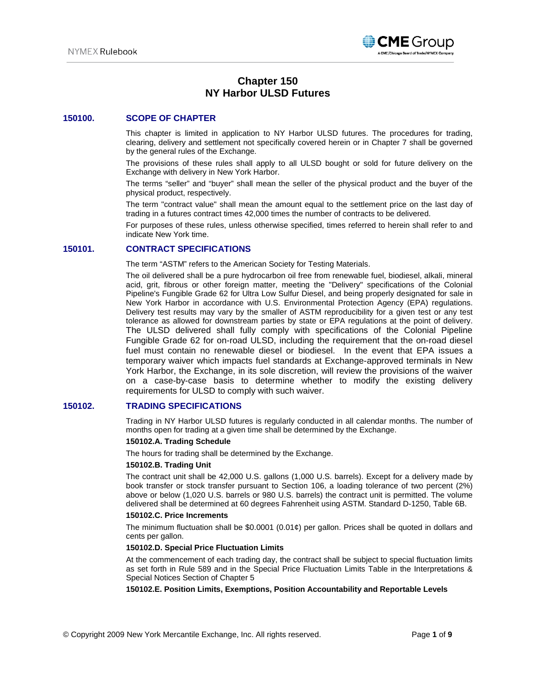

# **Chapter 150 NY Harbor ULSD Futures**

## **150100. SCOPE OF CHAPTER**

This chapter is limited in application to NY Harbor ULSD futures. The procedures for trading, clearing, delivery and settlement not specifically covered herein or in Chapter 7 shall be governed by the general rules of the Exchange.

The provisions of these rules shall apply to all ULSD bought or sold for future delivery on the Exchange with delivery in New York Harbor.

The terms "seller" and "buyer" shall mean the seller of the physical product and the buyer of the physical product, respectively.

The term "contract value" shall mean the amount equal to the settlement price on the last day of trading in a futures contract times 42,000 times the number of contracts to be delivered.

For purposes of these rules, unless otherwise specified, times referred to herein shall refer to and indicate New York time.

## **150101. CONTRACT SPECIFICATIONS**

The term "ASTM" refers to the American Society for Testing Materials.

The oil delivered shall be a pure hydrocarbon oil free from renewable fuel, biodiesel, alkali, mineral acid, grit, fibrous or other foreign matter, meeting the "Delivery" specifications of the Colonial Pipeline's Fungible Grade 62 for Ultra Low Sulfur Diesel, and being properly designated for sale in New York Harbor in accordance with U.S. Environmental Protection Agency (EPA) regulations. Delivery test results may vary by the smaller of ASTM reproducibility for a given test or any test tolerance as allowed for downstream parties by state or EPA regulations at the point of delivery. The ULSD delivered shall fully comply with specifications of the Colonial Pipeline Fungible Grade 62 for on-road ULSD, including the requirement that the on-road diesel fuel must contain no renewable diesel or biodiesel. In the event that EPA issues a temporary waiver which impacts fuel standards at Exchange-approved terminals in New York Harbor, the Exchange, in its sole discretion, will review the provisions of the waiver on a case-by-case basis to determine whether to modify the existing delivery requirements for ULSD to comply with such waiver.

## **150102. TRADING SPECIFICATIONS**

Trading in NY Harbor ULSD futures is regularly conducted in all calendar months. The number of months open for trading at a given time shall be determined by the Exchange.

### **150102.A. Trading Schedule**

The hours for trading shall be determined by the Exchange.

#### **150102.B. Trading Unit**

The contract unit shall be 42,000 U.S. gallons (1,000 U.S. barrels). Except for a delivery made by book transfer or stock transfer pursuant to Section 106, a loading tolerance of two percent (2%) above or below (1,020 U.S. barrels or 980 U.S. barrels) the contract unit is permitted. The volume delivered shall be determined at 60 degrees Fahrenheit using ASTM. Standard D-1250, Table 6B.

#### **150102.C. Price Increments**

The minimum fluctuation shall be \$0.0001 (0.01¢) per gallon. Prices shall be quoted in dollars and cents per gallon.

### **150102.D. Special Price Fluctuation Limits**

At the commencement of each trading day, the contract shall be subject to special fluctuation limits as set forth in Rule 589 and in the Special Price Fluctuation Limits Table in the Interpretations & Special Notices Section of Chapter 5

**150102.E. Position Limits, Exemptions, Position Accountability and Reportable Levels**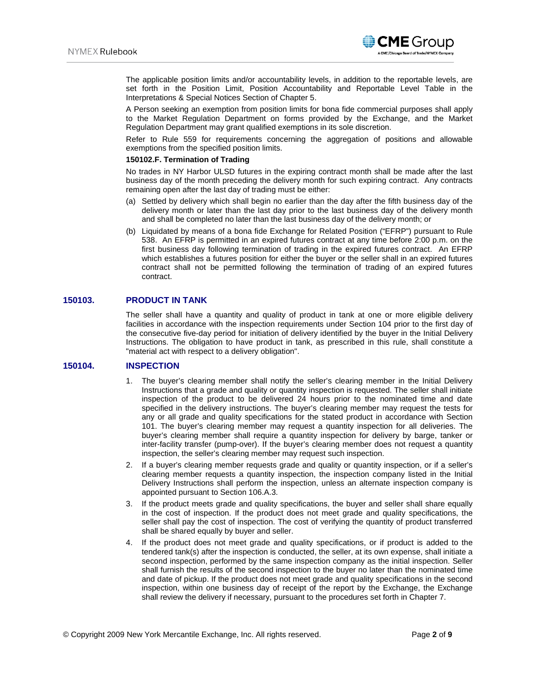

**CME** Group

A Person seeking an exemption from position limits for bona fide commercial purposes shall apply to the Market Regulation Department on forms provided by the Exchange, and the Market Regulation Department may grant qualified exemptions in its sole discretion.

Refer to Rule 559 for requirements concerning the aggregation of positions and allowable exemptions from the specified position limits.

#### **150102.F. Termination of Trading**

No trades in NY Harbor ULSD futures in the expiring contract month shall be made after the last business day of the month preceding the delivery month for such expiring contract. Any contracts remaining open after the last day of trading must be either:

- (a) Settled by delivery which shall begin no earlier than the day after the fifth business day of the delivery month or later than the last day prior to the last business day of the delivery month and shall be completed no later than the last business day of the delivery month; or
- (b) Liquidated by means of a bona fide Exchange for Related Position ("EFRP") pursuant to Rule 538. An EFRP is permitted in an expired futures contract at any time before 2:00 p.m. on the first business day following termination of trading in the expired futures contract. An EFRP which establishes a futures position for either the buyer or the seller shall in an expired futures contract shall not be permitted following the termination of trading of an expired futures contract.

## **150103. PRODUCT IN TANK**

The seller shall have a quantity and quality of product in tank at one or more eligible delivery facilities in accordance with the inspection requirements under Section 104 prior to the first day of the consecutive five-day period for initiation of delivery identified by the buyer in the Initial Delivery Instructions. The obligation to have product in tank, as prescribed in this rule, shall constitute a "material act with respect to a delivery obligation".

### **150104. INSPECTION**

- 1. The buyer's clearing member shall notify the seller's clearing member in the Initial Delivery Instructions that a grade and quality or quantity inspection is requested. The seller shall initiate inspection of the product to be delivered 24 hours prior to the nominated time and date specified in the delivery instructions. The buyer's clearing member may request the tests for any or all grade and quality specifications for the stated product in accordance with Section 101. The buyer's clearing member may request a quantity inspection for all deliveries. The buyer's clearing member shall require a quantity inspection for delivery by barge, tanker or inter-facility transfer (pump-over). If the buyer's clearing member does not request a quantity inspection, the seller's clearing member may request such inspection.
- 2. If a buyer's clearing member requests grade and quality or quantity inspection, or if a seller's clearing member requests a quantity inspection, the inspection company listed in the Initial Delivery Instructions shall perform the inspection, unless an alternate inspection company is appointed pursuant to Section 106.A.3.
- 3. If the product meets grade and quality specifications, the buyer and seller shall share equally in the cost of inspection. If the product does not meet grade and quality specifications, the seller shall pay the cost of inspection. The cost of verifying the quantity of product transferred shall be shared equally by buyer and seller.
- 4. If the product does not meet grade and quality specifications, or if product is added to the tendered tank(s) after the inspection is conducted, the seller, at its own expense, shall initiate a second inspection, performed by the same inspection company as the initial inspection. Seller shall furnish the results of the second inspection to the buyer no later than the nominated time and date of pickup. If the product does not meet grade and quality specifications in the second inspection, within one business day of receipt of the report by the Exchange, the Exchange shall review the delivery if necessary, pursuant to the procedures set forth in Chapter 7.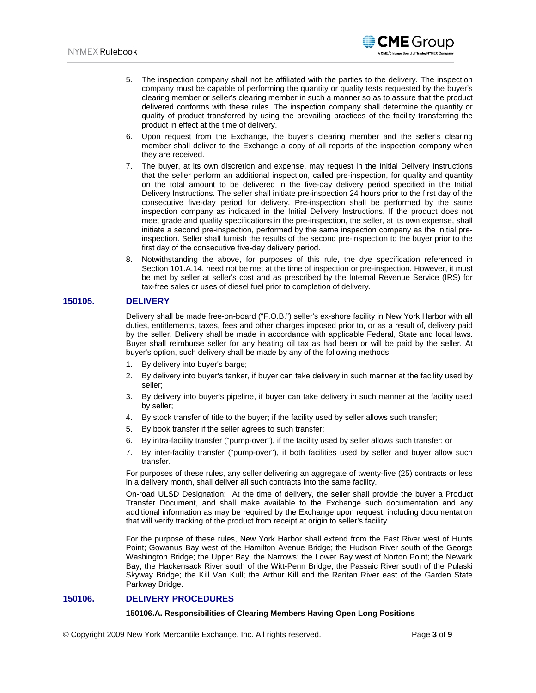5. The inspection company shall not be affiliated with the parties to the delivery. The inspection company must be capable of performing the quantity or quality tests requested by the buyer's clearing member or seller's clearing member in such a manner so as to assure that the product delivered conforms with these rules. The inspection company shall determine the quantity or quality of product transferred by using the prevailing practices of the facility transferring the product in effect at the time of delivery.

**CME** Group

- 6. Upon request from the Exchange, the buyer's clearing member and the seller's clearing member shall deliver to the Exchange a copy of all reports of the inspection company when they are received.
- 7. The buyer, at its own discretion and expense, may request in the Initial Delivery Instructions that the seller perform an additional inspection, called pre-inspection, for quality and quantity on the total amount to be delivered in the five-day delivery period specified in the Initial Delivery Instructions. The seller shall initiate pre-inspection 24 hours prior to the first day of the consecutive five-day period for delivery. Pre-inspection shall be performed by the same inspection company as indicated in the Initial Delivery Instructions. If the product does not meet grade and quality specifications in the pre-inspection, the seller, at its own expense, shall initiate a second pre-inspection, performed by the same inspection company as the initial preinspection. Seller shall furnish the results of the second pre-inspection to the buyer prior to the first day of the consecutive five-day delivery period.
- 8. Notwithstanding the above, for purposes of this rule, the dye specification referenced in Section 101.A.14. need not be met at the time of inspection or pre-inspection. However, it must be met by seller at seller's cost and as prescribed by the Internal Revenue Service (IRS) for tax-free sales or uses of diesel fuel prior to completion of delivery.

## **150105. DELIVERY**

Delivery shall be made free-on-board ("F.O.B.") seller's ex-shore facility in New York Harbor with all duties, entitlements, taxes, fees and other charges imposed prior to, or as a result of, delivery paid by the seller. Delivery shall be made in accordance with applicable Federal, State and local laws. Buyer shall reimburse seller for any heating oil tax as had been or will be paid by the seller. At buyer's option, such delivery shall be made by any of the following methods:

- 1. By delivery into buyer's barge;
- 2. By delivery into buyer's tanker, if buyer can take delivery in such manner at the facility used by seller;
- 3. By delivery into buyer's pipeline, if buyer can take delivery in such manner at the facility used by seller;
- 4. By stock transfer of title to the buyer; if the facility used by seller allows such transfer;
- 5. By book transfer if the seller agrees to such transfer;
- 6. By intra-facility transfer ("pump-over"), if the facility used by seller allows such transfer; or
- 7. By inter-facility transfer ("pump-over"), if both facilities used by seller and buyer allow such transfer.

For purposes of these rules, any seller delivering an aggregate of twenty-five (25) contracts or less in a delivery month, shall deliver all such contracts into the same facility.

On-road ULSD Designation: At the time of delivery, the seller shall provide the buyer a Product Transfer Document, and shall make available to the Exchange such documentation and any additional information as may be required by the Exchange upon request, including documentation that will verify tracking of the product from receipt at origin to seller's facility.

For the purpose of these rules, New York Harbor shall extend from the East River west of Hunts Point; Gowanus Bay west of the Hamilton Avenue Bridge; the Hudson River south of the George Washington Bridge; the Upper Bay; the Narrows; the Lower Bay west of Norton Point; the Newark Bay; the Hackensack River south of the Witt-Penn Bridge; the Passaic River south of the Pulaski Skyway Bridge; the Kill Van Kull; the Arthur Kill and the Raritan River east of the Garden State Parkway Bridge.

## **150106. DELIVERY PROCEDURES**

#### **150106.A. Responsibilities of Clearing Members Having Open Long Positions**

© Copyright 2009 New York Mercantile Exchange, Inc. All rights reserved. Page **3** of **9**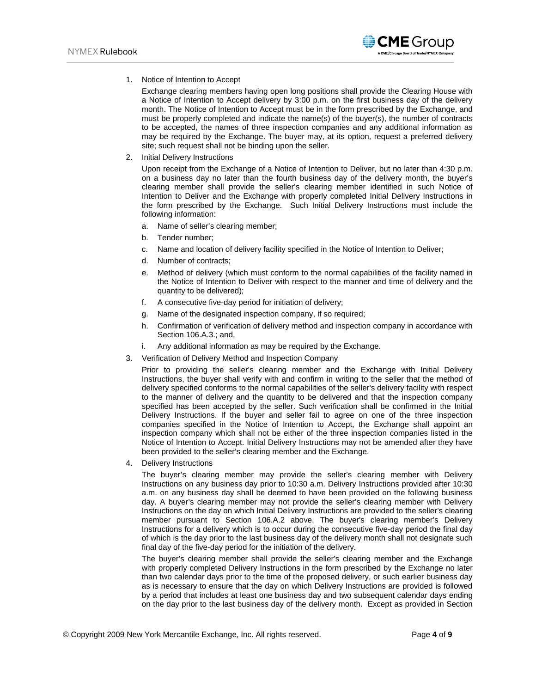1. Notice of Intention to Accept

Exchange clearing members having open long positions shall provide the Clearing House with a Notice of Intention to Accept delivery by 3:00 p.m. on the first business day of the delivery month. The Notice of Intention to Accept must be in the form prescribed by the Exchange, and must be properly completed and indicate the name(s) of the buyer(s), the number of contracts to be accepted, the names of three inspection companies and any additional information as may be required by the Exchange. The buyer may, at its option, request a preferred delivery site; such request shall not be binding upon the seller.

2. Initial Delivery Instructions

Upon receipt from the Exchange of a Notice of Intention to Deliver, but no later than 4:30 p.m. on a business day no later than the fourth business day of the delivery month, the buyer's clearing member shall provide the seller's clearing member identified in such Notice of Intention to Deliver and the Exchange with properly completed Initial Delivery Instructions in the form prescribed by the Exchange. Such Initial Delivery Instructions must include the following information:

- a. Name of seller's clearing member;
- b. Tender number;
- c. Name and location of delivery facility specified in the Notice of Intention to Deliver;
- d. Number of contracts;
- e. Method of delivery (which must conform to the normal capabilities of the facility named in the Notice of Intention to Deliver with respect to the manner and time of delivery and the quantity to be delivered);
- f. A consecutive five-day period for initiation of delivery;
- g. Name of the designated inspection company, if so required;
- h. Confirmation of verification of delivery method and inspection company in accordance with Section 106.A.3.; and,
- Any additional information as may be required by the Exchange.
- 3. Verification of Delivery Method and Inspection Company

Prior to providing the seller's clearing member and the Exchange with Initial Delivery Instructions, the buyer shall verify with and confirm in writing to the seller that the method of delivery specified conforms to the normal capabilities of the seller's delivery facility with respect to the manner of delivery and the quantity to be delivered and that the inspection company specified has been accepted by the seller. Such verification shall be confirmed in the Initial Delivery Instructions. If the buyer and seller fail to agree on one of the three inspection companies specified in the Notice of Intention to Accept, the Exchange shall appoint an inspection company which shall not be either of the three inspection companies listed in the Notice of Intention to Accept. Initial Delivery Instructions may not be amended after they have been provided to the seller's clearing member and the Exchange.

4. Delivery Instructions

The buyer's clearing member may provide the seller's clearing member with Delivery Instructions on any business day prior to 10:30 a.m. Delivery Instructions provided after 10:30 a.m. on any business day shall be deemed to have been provided on the following business day. A buyer's clearing member may not provide the seller's clearing member with Delivery Instructions on the day on which Initial Delivery Instructions are provided to the seller's clearing member pursuant to Section 106.A.2 above. The buyer's clearing member's Delivery Instructions for a delivery which is to occur during the consecutive five-day period the final day of which is the day prior to the last business day of the delivery month shall not designate such final day of the five-day period for the initiation of the delivery.

The buyer's clearing member shall provide the seller's clearing member and the Exchange with properly completed Delivery Instructions in the form prescribed by the Exchange no later than two calendar days prior to the time of the proposed delivery, or such earlier business day as is necessary to ensure that the day on which Delivery Instructions are provided is followed by a period that includes at least one business day and two subsequent calendar days ending on the day prior to the last business day of the delivery month. Except as provided in Section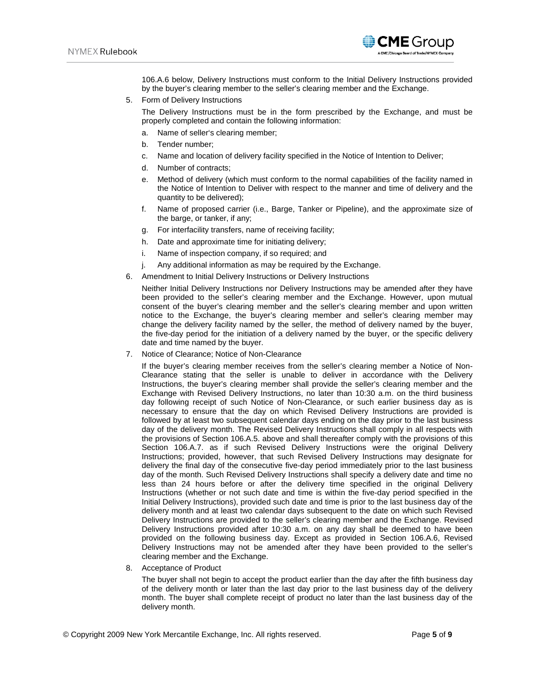

106.A.6 below, Delivery Instructions must conform to the Initial Delivery Instructions provided by the buyer's clearing member to the seller's clearing member and the Exchange.

5. Form of Delivery Instructions

The Delivery Instructions must be in the form prescribed by the Exchange, and must be properly completed and contain the following information:

- a. Name of seller's clearing member;
- b. Tender number;
- c. Name and location of delivery facility specified in the Notice of Intention to Deliver;
- d. Number of contracts;
- e. Method of delivery (which must conform to the normal capabilities of the facility named in the Notice of Intention to Deliver with respect to the manner and time of delivery and the quantity to be delivered);
- f. Name of proposed carrier (i.e., Barge, Tanker or Pipeline), and the approximate size of the barge, or tanker, if any;
- g. For interfacility transfers, name of receiving facility;
- h. Date and approximate time for initiating delivery;
- i. Name of inspection company, if so required; and
- j. Any additional information as may be required by the Exchange.
- 6. Amendment to Initial Delivery Instructions or Delivery Instructions

Neither Initial Delivery Instructions nor Delivery Instructions may be amended after they have been provided to the seller's clearing member and the Exchange. However, upon mutual consent of the buyer's clearing member and the seller's clearing member and upon written notice to the Exchange, the buyer's clearing member and seller's clearing member may change the delivery facility named by the seller, the method of delivery named by the buyer, the five-day period for the initiation of a delivery named by the buyer, or the specific delivery date and time named by the buyer.

7. Notice of Clearance; Notice of Non-Clearance

If the buyer's clearing member receives from the seller's clearing member a Notice of Non-Clearance stating that the seller is unable to deliver in accordance with the Delivery Instructions, the buyer's clearing member shall provide the seller's clearing member and the Exchange with Revised Delivery Instructions, no later than 10:30 a.m. on the third business day following receipt of such Notice of Non-Clearance, or such earlier business day as is necessary to ensure that the day on which Revised Delivery Instructions are provided is followed by at least two subsequent calendar days ending on the day prior to the last business day of the delivery month. The Revised Delivery Instructions shall comply in all respects with the provisions of Section 106.A.5. above and shall thereafter comply with the provisions of this Section 106.A.7. as if such Revised Delivery Instructions were the original Delivery Instructions; provided, however, that such Revised Delivery Instructions may designate for delivery the final day of the consecutive five-day period immediately prior to the last business day of the month. Such Revised Delivery Instructions shall specify a delivery date and time no less than 24 hours before or after the delivery time specified in the original Delivery Instructions (whether or not such date and time is within the five-day period specified in the Initial Delivery Instructions), provided such date and time is prior to the last business day of the delivery month and at least two calendar days subsequent to the date on which such Revised Delivery Instructions are provided to the seller's clearing member and the Exchange. Revised Delivery Instructions provided after 10:30 a.m. on any day shall be deemed to have been provided on the following business day. Except as provided in Section 106.A.6, Revised Delivery Instructions may not be amended after they have been provided to the seller's clearing member and the Exchange.

8. Acceptance of Product

The buyer shall not begin to accept the product earlier than the day after the fifth business day of the delivery month or later than the last day prior to the last business day of the delivery month. The buyer shall complete receipt of product no later than the last business day of the delivery month.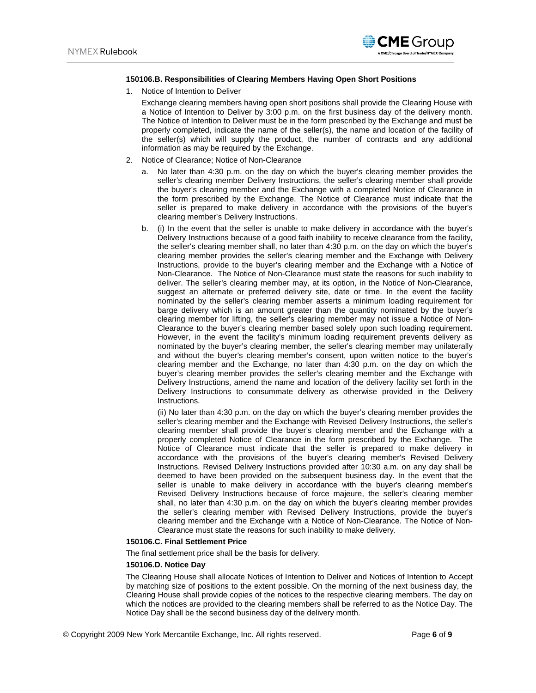

### **150106.B. Responsibilities of Clearing Members Having Open Short Positions**

1. Notice of Intention to Deliver

Exchange clearing members having open short positions shall provide the Clearing House with a Notice of Intention to Deliver by 3:00 p.m. on the first business day of the delivery month. The Notice of Intention to Deliver must be in the form prescribed by the Exchange and must be properly completed, indicate the name of the seller(s), the name and location of the facility of the seller(s) which will supply the product, the number of contracts and any additional information as may be required by the Exchange.

- 2. Notice of Clearance; Notice of Non-Clearance
	- a. No later than 4:30 p.m. on the day on which the buyer's clearing member provides the seller's clearing member Delivery Instructions, the seller's clearing member shall provide the buyer's clearing member and the Exchange with a completed Notice of Clearance in the form prescribed by the Exchange. The Notice of Clearance must indicate that the seller is prepared to make delivery in accordance with the provisions of the buyer's clearing member's Delivery Instructions.
	- b. (i) In the event that the seller is unable to make delivery in accordance with the buyer's Delivery Instructions because of a good faith inability to receive clearance from the facility, the seller's clearing member shall, no later than 4:30 p.m. on the day on which the buyer's clearing member provides the seller's clearing member and the Exchange with Delivery Instructions, provide to the buyer's clearing member and the Exchange with a Notice of Non-Clearance. The Notice of Non-Clearance must state the reasons for such inability to deliver. The seller's clearing member may, at its option, in the Notice of Non-Clearance, suggest an alternate or preferred delivery site, date or time. In the event the facility nominated by the seller's clearing member asserts a minimum loading requirement for barge delivery which is an amount greater than the quantity nominated by the buyer's clearing member for lifting, the seller's clearing member may not issue a Notice of Non-Clearance to the buyer's clearing member based solely upon such loading requirement. However, in the event the facility's minimum loading requirement prevents delivery as nominated by the buyer's clearing member, the seller's clearing member may unilaterally and without the buyer's clearing member's consent, upon written notice to the buyer's clearing member and the Exchange, no later than 4:30 p.m. on the day on which the buyer's clearing member provides the seller's clearing member and the Exchange with Delivery Instructions, amend the name and location of the delivery facility set forth in the Delivery Instructions to consummate delivery as otherwise provided in the Delivery Instructions.

(ii) No later than 4:30 p.m. on the day on which the buyer's clearing member provides the seller's clearing member and the Exchange with Revised Delivery Instructions, the seller's clearing member shall provide the buyer's clearing member and the Exchange with a properly completed Notice of Clearance in the form prescribed by the Exchange. The Notice of Clearance must indicate that the seller is prepared to make delivery in accordance with the provisions of the buyer's clearing member's Revised Delivery Instructions. Revised Delivery Instructions provided after 10:30 a.m. on any day shall be deemed to have been provided on the subsequent business day. In the event that the seller is unable to make delivery in accordance with the buyer's clearing member's Revised Delivery Instructions because of force majeure, the seller's clearing member shall, no later than 4:30 p.m. on the day on which the buyer's clearing member provides the seller's clearing member with Revised Delivery Instructions, provide the buyer's clearing member and the Exchange with a Notice of Non-Clearance. The Notice of Non-Clearance must state the reasons for such inability to make delivery.

### **150106.C. Final Settlement Price**

The final settlement price shall be the basis for delivery.

#### **150106.D. Notice Day**

The Clearing House shall allocate Notices of Intention to Deliver and Notices of Intention to Accept by matching size of positions to the extent possible. On the morning of the next business day, the Clearing House shall provide copies of the notices to the respective clearing members. The day on which the notices are provided to the clearing members shall be referred to as the Notice Day. The Notice Day shall be the second business day of the delivery month.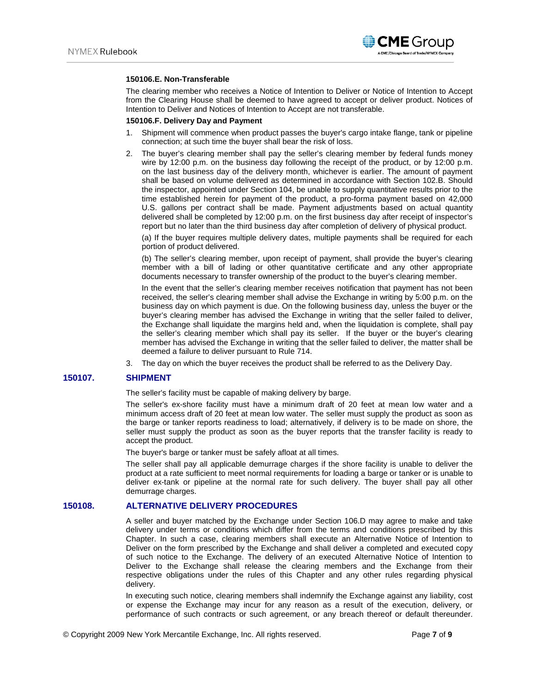

#### **150106.E. Non-Transferable**

The clearing member who receives a Notice of Intention to Deliver or Notice of Intention to Accept from the Clearing House shall be deemed to have agreed to accept or deliver product. Notices of Intention to Deliver and Notices of Intention to Accept are not transferable.

#### **150106.F. Delivery Day and Payment**

- 1. Shipment will commence when product passes the buyer's cargo intake flange, tank or pipeline connection; at such time the buyer shall bear the risk of loss.
- 2. The buyer's clearing member shall pay the seller's clearing member by federal funds money wire by 12:00 p.m. on the business day following the receipt of the product, or by 12:00 p.m. on the last business day of the delivery month, whichever is earlier. The amount of payment shall be based on volume delivered as determined in accordance with Section 102.B. Should the inspector, appointed under Section 104, be unable to supply quantitative results prior to the time established herein for payment of the product, a pro-forma payment based on 42,000 U.S. gallons per contract shall be made. Payment adjustments based on actual quantity delivered shall be completed by 12:00 p.m. on the first business day after receipt of inspector's report but no later than the third business day after completion of delivery of physical product.

(a) If the buyer requires multiple delivery dates, multiple payments shall be required for each portion of product delivered.

(b) The seller's clearing member, upon receipt of payment, shall provide the buyer's clearing member with a bill of lading or other quantitative certificate and any other appropriate documents necessary to transfer ownership of the product to the buyer's clearing member.

In the event that the seller's clearing member receives notification that payment has not been received, the seller's clearing member shall advise the Exchange in writing by 5:00 p.m. on the business day on which payment is due. On the following business day, unless the buyer or the buyer's clearing member has advised the Exchange in writing that the seller failed to deliver, the Exchange shall liquidate the margins held and, when the liquidation is complete, shall pay the seller's clearing member which shall pay its seller. If the buyer or the buyer's clearing member has advised the Exchange in writing that the seller failed to deliver, the matter shall be deemed a failure to deliver pursuant to Rule 714.

3. The day on which the buyer receives the product shall be referred to as the Delivery Day.

## **150107. SHIPMENT**

The seller's facility must be capable of making delivery by barge.

The seller's ex-shore facility must have a minimum draft of 20 feet at mean low water and a minimum access draft of 20 feet at mean low water. The seller must supply the product as soon as the barge or tanker reports readiness to load; alternatively, if delivery is to be made on shore, the seller must supply the product as soon as the buyer reports that the transfer facility is ready to accept the product.

The buyer's barge or tanker must be safely afloat at all times.

The seller shall pay all applicable demurrage charges if the shore facility is unable to deliver the product at a rate sufficient to meet normal requirements for loading a barge or tanker or is unable to deliver ex-tank or pipeline at the normal rate for such delivery. The buyer shall pay all other demurrage charges.

## **150108. ALTERNATIVE DELIVERY PROCEDURES**

A seller and buyer matched by the Exchange under Section 106.D may agree to make and take delivery under terms or conditions which differ from the terms and conditions prescribed by this Chapter. In such a case, clearing members shall execute an Alternative Notice of Intention to Deliver on the form prescribed by the Exchange and shall deliver a completed and executed copy of such notice to the Exchange. The delivery of an executed Alternative Notice of Intention to Deliver to the Exchange shall release the clearing members and the Exchange from their respective obligations under the rules of this Chapter and any other rules regarding physical delivery.

In executing such notice, clearing members shall indemnify the Exchange against any liability, cost or expense the Exchange may incur for any reason as a result of the execution, delivery, or performance of such contracts or such agreement, or any breach thereof or default thereunder.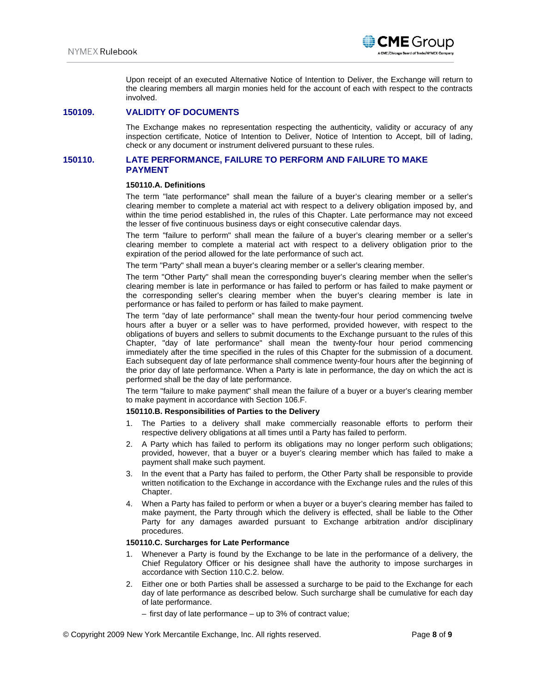

Upon receipt of an executed Alternative Notice of Intention to Deliver, the Exchange will return to the clearing members all margin monies held for the account of each with respect to the contracts involved.

## **150109. VALIDITY OF DOCUMENTS**

The Exchange makes no representation respecting the authenticity, validity or accuracy of any inspection certificate, Notice of Intention to Deliver, Notice of Intention to Accept, bill of lading, check or any document or instrument delivered pursuant to these rules.

## **150110. LATE PERFORMANCE, FAILURE TO PERFORM AND FAILURE TO MAKE PAYMENT**

#### **150110.A. Definitions**

The term "late performance" shall mean the failure of a buyer's clearing member or a seller's clearing member to complete a material act with respect to a delivery obligation imposed by, and within the time period established in, the rules of this Chapter. Late performance may not exceed the lesser of five continuous business days or eight consecutive calendar days.

The term "failure to perform" shall mean the failure of a buyer's clearing member or a seller's clearing member to complete a material act with respect to a delivery obligation prior to the expiration of the period allowed for the late performance of such act.

The term "Party" shall mean a buyer's clearing member or a seller's clearing member.

The term "Other Party" shall mean the corresponding buyer's clearing member when the seller's clearing member is late in performance or has failed to perform or has failed to make payment or the corresponding seller's clearing member when the buyer's clearing member is late in performance or has failed to perform or has failed to make payment.

The term "day of late performance" shall mean the twenty-four hour period commencing twelve hours after a buyer or a seller was to have performed, provided however, with respect to the obligations of buyers and sellers to submit documents to the Exchange pursuant to the rules of this Chapter, "day of late performance" shall mean the twenty-four hour period commencing immediately after the time specified in the rules of this Chapter for the submission of a document. Each subsequent day of late performance shall commence twenty-four hours after the beginning of the prior day of late performance. When a Party is late in performance, the day on which the act is performed shall be the day of late performance.

The term "failure to make payment" shall mean the failure of a buyer or a buyer's clearing member to make payment in accordance with Section 106.F.

#### **150110.B. Responsibilities of Parties to the Delivery**

- 1. The Parties to a delivery shall make commercially reasonable efforts to perform their respective delivery obligations at all times until a Party has failed to perform.
- 2. A Party which has failed to perform its obligations may no longer perform such obligations; provided, however, that a buyer or a buyer's clearing member which has failed to make a payment shall make such payment.
- 3. In the event that a Party has failed to perform, the Other Party shall be responsible to provide written notification to the Exchange in accordance with the Exchange rules and the rules of this Chapter.
- 4. When a Party has failed to perform or when a buyer or a buyer's clearing member has failed to make payment, the Party through which the delivery is effected, shall be liable to the Other Party for any damages awarded pursuant to Exchange arbitration and/or disciplinary procedures.

#### **150110.C. Surcharges for Late Performance**

- 1. Whenever a Party is found by the Exchange to be late in the performance of a delivery, the Chief Regulatory Officer or his designee shall have the authority to impose surcharges in accordance with Section 110.C.2. below.
- 2. Either one or both Parties shall be assessed a surcharge to be paid to the Exchange for each day of late performance as described below. Such surcharge shall be cumulative for each day of late performance.
	- first day of late performance up to 3% of contract value;